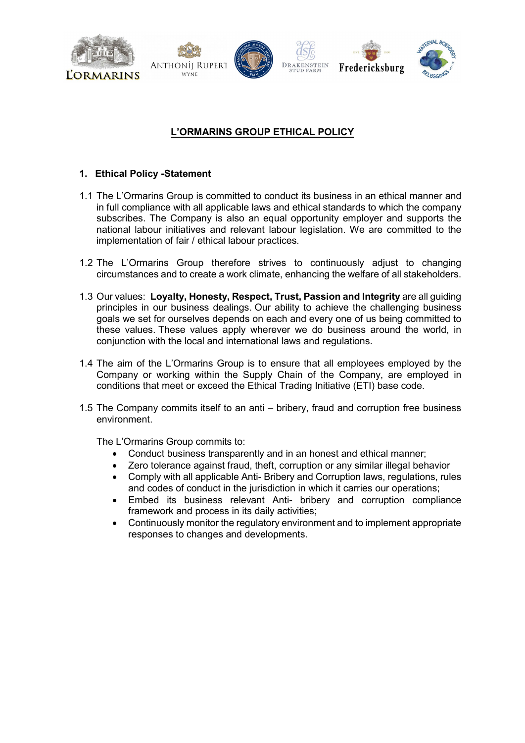

### **L'ORMARINS GROUP ETHICAL POLICY**

### **1. Ethical Policy -Statement**

- 1.1 The L'Ormarins Group is committed to conduct its business in an ethical manner and in full compliance with all applicable laws and ethical standards to which the company subscribes. The Company is also an equal opportunity employer and supports the national labour initiatives and relevant labour legislation. We are committed to the implementation of fair / ethical labour practices.
- 1.2 The L'Ormarins Group therefore strives to continuously adjust to changing circumstances and to create a work climate, enhancing the welfare of all stakeholders.
- 1.3 Our values: **Loyalty, Honesty, Respect, Trust, Passion and Integrity** are all guiding principles in our business dealings. Our ability to achieve the challenging business goals we set for ourselves depends on each and every one of us being committed to these values. These values apply wherever we do business around the world, in conjunction with the local and international laws and regulations.
- 1.4 The aim of the L'Ormarins Group is to ensure that all employees employed by the Company or working within the Supply Chain of the Company, are employed in conditions that meet or exceed the Ethical Trading Initiative (ETI) base code.
- 1.5 The Company commits itself to an anti bribery, fraud and corruption free business environment.

The L'Ormarins Group commits to:

- Conduct business transparently and in an honest and ethical manner;
- Zero tolerance against fraud, theft, corruption or any similar illegal behavior
- Comply with all applicable Anti- Bribery and Corruption laws, regulations, rules and codes of conduct in the jurisdiction in which it carries our operations;
- Embed its business relevant Anti- bribery and corruption compliance framework and process in its daily activities;
- Continuously monitor the regulatory environment and to implement appropriate responses to changes and developments.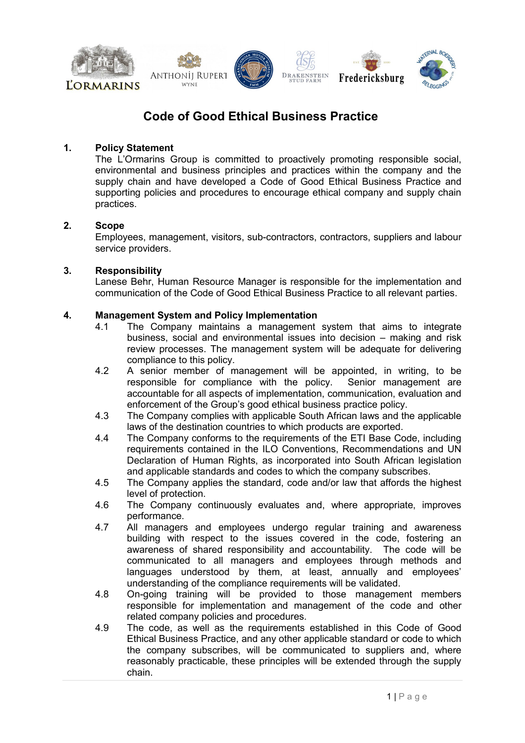

### **Code of Good Ethical Business Practice**

#### **1. Policy Statement**

The L'Ormarins Group is committed to proactively promoting responsible social, environmental and business principles and practices within the company and the supply chain and have developed a Code of Good Ethical Business Practice and supporting policies and procedures to encourage ethical company and supply chain practices.

#### **2. Scope**

Employees, management, visitors, sub-contractors, contractors, suppliers and labour service providers.

#### **3. Responsibility**

Lanese Behr, Human Resource Manager is responsible for the implementation and communication of the Code of Good Ethical Business Practice to all relevant parties.

# **4. Management System and Policy Implementation**

- The Company maintains a management system that aims to integrate business, social and environmental issues into decision – making and risk review processes. The management system will be adequate for delivering compliance to this policy.
- 4.2 A senior member of management will be appointed, in writing, to be responsible for compliance with the policy. Senior management are responsible for compliance with the policy. accountable for all aspects of implementation, communication, evaluation and enforcement of the Group's good ethical business practice policy.
- 4.3 The Company complies with applicable South African laws and the applicable laws of the destination countries to which products are exported.
- 4.4 The Company conforms to the requirements of the ETI Base Code, including requirements contained in the ILO Conventions, Recommendations and UN Declaration of Human Rights, as incorporated into South African legislation and applicable standards and codes to which the company subscribes.
- 4.5 The Company applies the standard, code and/or law that affords the highest level of protection.
- 4.6 The Company continuously evaluates and, where appropriate, improves performance.
- 4.7 All managers and employees undergo regular training and awareness building with respect to the issues covered in the code, fostering an awareness of shared responsibility and accountability. The code will be communicated to all managers and employees through methods and languages understood by them, at least, annually and employees' understanding of the compliance requirements will be validated.
- 4.8 On-going training will be provided to those management members responsible for implementation and management of the code and other related company policies and procedures.
- 4.9 The code, as well as the requirements established in this Code of Good Ethical Business Practice, and any other applicable standard or code to which the company subscribes, will be communicated to suppliers and, where reasonably practicable, these principles will be extended through the supply chain.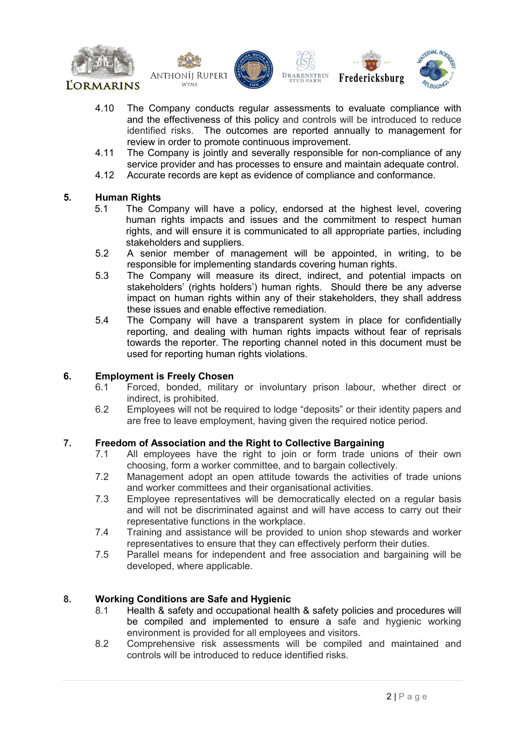











- 4.10 The Company conducts regular assessments to evaluate compliance with and the effectiveness of this policy and controls will be introduced to reduce identified risks. The outcomes are reported annually to management for review in order to promote continuous improvement.
- 4.11 The Company is jointly and severally responsible for non-compliance of any service provider and has processes to ensure and maintain adequate control.
- 4.12 Accurate records are kept as evidence of compliance and conformance.

# **5. Human Rights**

- The Company will have a policy, endorsed at the highest level, covering human rights impacts and issues and the commitment to respect human rights, and will ensure it is communicated to all appropriate parties, including stakeholders and suppliers.
- 5.2 A senior member of management will be appointed, in writing, to be responsible for implementing standards covering human rights.
- 5.3 The Company will measure its direct, indirect, and potential impacts on stakeholders' (rights holders') human rights. Should there be any adverse impact on human rights within any of their stakeholders, they shall address these issues and enable effective remediation.
- 5.4 The Company will have a transparent system in place for confidentially reporting, and dealing with human rights impacts without fear of reprisals towards the reporter. The reporting channel noted in this document must be used for reporting human rights violations.

### **6. Employment is Freely Chosen**

- 6.1 Forced, bonded, military or involuntary prison labour, whether direct or indirect, is prohibited.
- 6.2 Employees will not be required to lodge "deposits" or their identity papers and are free to leave employment, having given the required notice period.

# **7. Freedom of Association and the Right to Collective Bargaining**

- All employees have the right to join or form trade unions of their own choosing, form a worker committee, and to bargain collectively.
- 7.2 Management adopt an open attitude towards the activities of trade unions and worker committees and their organisational activities.
- 7.3 Employee representatives will be democratically elected on a regular basis and will not be discriminated against and will have access to carry out their representative functions in the workplace.
- 7.4 Training and assistance will be provided to union shop stewards and worker representatives to ensure that they can effectively perform their duties.
- 7.5 Parallel means for independent and free association and bargaining will be developed, where applicable.

### **8. Working Conditions are Safe and Hygienic**

- 8.1 Health & safety and occupational health & safety policies and procedures will be compiled and implemented to ensure a safe and hygienic working environment is provided for all employees and visitors.
- 8.2 Comprehensive risk assessments will be compiled and maintained and controls will be introduced to reduce identified risks.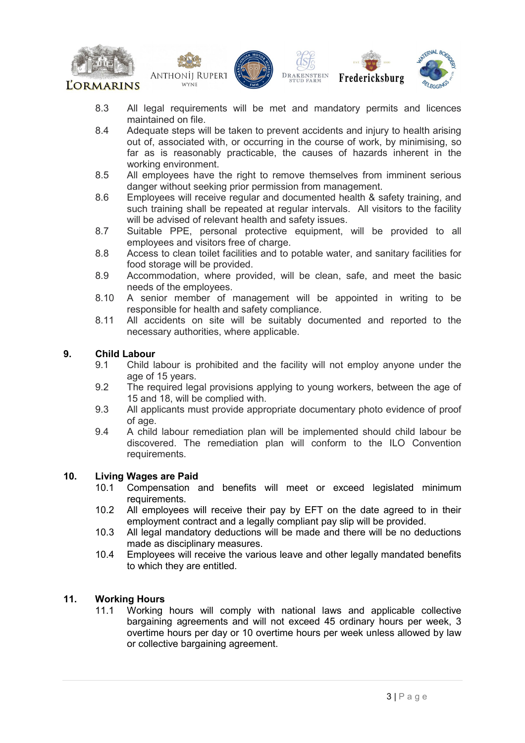











- 8.3 All legal requirements will be met and mandatory permits and licences maintained on file.
- 8.4 Adequate steps will be taken to prevent accidents and injury to health arising out of, associated with, or occurring in the course of work, by minimising, so far as is reasonably practicable, the causes of hazards inherent in the working environment.
- 8.5 All employees have the right to remove themselves from imminent serious danger without seeking prior permission from management.
- 8.6 Employees will receive regular and documented health & safety training, and such training shall be repeated at regular intervals. All visitors to the facility will be advised of relevant health and safety issues.
- 8.7 Suitable PPE, personal protective equipment, will be provided to all employees and visitors free of charge.
- 8.8 Access to clean toilet facilities and to potable water, and sanitary facilities for food storage will be provided.
- 8.9 Accommodation, where provided, will be clean, safe, and meet the basic needs of the employees.
- 8.10 A senior member of management will be appointed in writing to be responsible for health and safety compliance.
- 8.11 All accidents on site will be suitably documented and reported to the necessary authorities, where applicable.

### **9. Child Labour**

- Child labour is prohibited and the facility will not employ anyone under the age of 15 years.
- 9.2 The required legal provisions applying to young workers, between the age of 15 and 18, will be complied with.
- 9.3 All applicants must provide appropriate documentary photo evidence of proof of age.
- 9.4 A child labour remediation plan will be implemented should child labour be discovered. The remediation plan will conform to the ILO Convention requirements.

# **10. Living Wages are Paid**

- Compensation and benefits will meet or exceed legislated minimum requirements.
- 10.2 All employees will receive their pay by EFT on the date agreed to in their employment contract and a legally compliant pay slip will be provided.
- 10.3 All legal mandatory deductions will be made and there will be no deductions made as disciplinary measures.
- 10.4 Employees will receive the various leave and other legally mandated benefits to which they are entitled.

#### **11. Working Hours**

11.1 Working hours will comply with national laws and applicable collective bargaining agreements and will not exceed 45 ordinary hours per week, 3 overtime hours per day or 10 overtime hours per week unless allowed by law or collective bargaining agreement.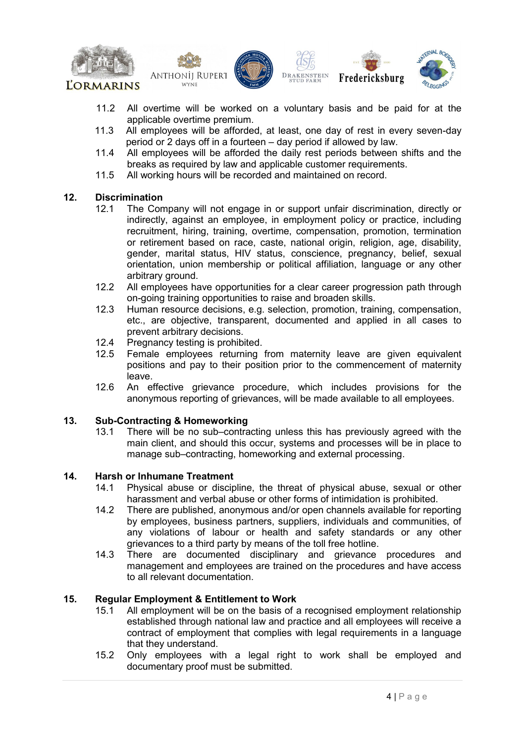









- 11.2 All overtime will be worked on a voluntary basis and be paid for at the applicable overtime premium.
- 11.3 All employees will be afforded, at least, one day of rest in every seven-day period or 2 days off in a fourteen – day period if allowed by law.
- 11.4 All employees will be afforded the daily rest periods between shifts and the breaks as required by law and applicable customer requirements.
- 11.5 All working hours will be recorded and maintained on record.

## **12. Discrimination**

- The Company will not engage in or support unfair discrimination, directly or indirectly, against an employee, in employment policy or practice, including recruitment, hiring, training, overtime, compensation, promotion, termination or retirement based on race, caste, national origin, religion, age, disability, gender, marital status, HIV status, conscience, pregnancy, belief, sexual orientation, union membership or political affiliation, language or any other arbitrary ground.
- 12.2 All employees have opportunities for a clear career progression path through on-going training opportunities to raise and broaden skills.
- 12.3 Human resource decisions, e.g. selection, promotion, training, compensation, etc., are objective, transparent, documented and applied in all cases to prevent arbitrary decisions.
- 12.4 Pregnancy testing is prohibited.<br>12.5 Female employees returning
- Female employees returning from maternity leave are given equivalent positions and pay to their position prior to the commencement of maternity leave.
- 12.6 An effective grievance procedure, which includes provisions for the anonymous reporting of grievances, will be made available to all employees.

### **13. Sub-Contracting & Homeworking**

There will be no sub–contracting unless this has previously agreed with the main client, and should this occur, systems and processes will be in place to manage sub–contracting, homeworking and external processing.

# **14. Harsh or Inhumane Treatment**

- Physical abuse or discipline, the threat of physical abuse, sexual or other harassment and verbal abuse or other forms of intimidation is prohibited.
- 14.2 There are published, anonymous and/or open channels available for reporting by employees, business partners, suppliers, individuals and communities, of any violations of labour or health and safety standards or any other grievances to a third party by means of the toll free hotline.
- 14.3 There are documented disciplinary and grievance procedures and management and employees are trained on the procedures and have access to all relevant documentation.

### **15. Regular Employment & Entitlement to Work**

- 15.1 All employment will be on the basis of a recognised employment relationship established through national law and practice and all employees will receive a contract of employment that complies with legal requirements in a language that they understand.
- 15.2 Only employees with a legal right to work shall be employed and documentary proof must be submitted.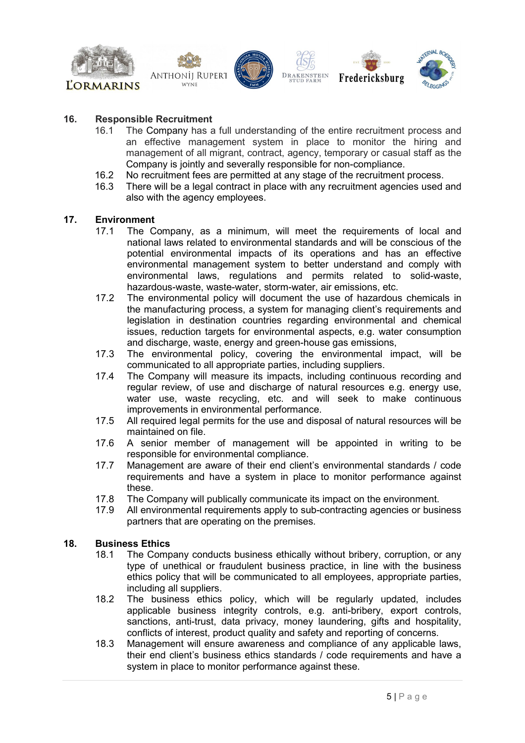









#### **16. Responsible Recruitment**

- 16.1 The Company has a full understanding of the entire recruitment process and an effective management system in place to monitor the hiring and management of all migrant, contract, agency, temporary or casual staff as the Company is jointly and severally responsible for non-compliance.
- 16.2 No recruitment fees are permitted at any stage of the recruitment process.
- 16.3 There will be a legal contract in place with any recruitment agencies used and also with the agency employees.

### **17. Environment**

- The Company, as a minimum, will meet the requirements of local and national laws related to environmental standards and will be conscious of the potential environmental impacts of its operations and has an effective environmental management system to better understand and comply with environmental laws, regulations and permits related to solid-waste, hazardous-waste, waste-water, storm-water, air emissions, etc.
- 17.2 The environmental policy will document the use of hazardous chemicals in the manufacturing process, a system for managing client's requirements and legislation in destination countries regarding environmental and chemical issues, reduction targets for environmental aspects, e.g. water consumption and discharge, waste, energy and green-house gas emissions,
- 17.3 The environmental policy, covering the environmental impact, will be communicated to all appropriate parties, including suppliers.
- 17.4 The Company will measure its impacts, including continuous recording and regular review, of use and discharge of natural resources e.g. energy use, water use, waste recycling, etc. and will seek to make continuous improvements in environmental performance.
- 17.5 All required legal permits for the use and disposal of natural resources will be maintained on file.
- 17.6 A senior member of management will be appointed in writing to be responsible for environmental compliance.
- 17.7 Management are aware of their end client's environmental standards / code requirements and have a system in place to monitor performance against these.
- 17.8 The Company will publically communicate its impact on the environment.<br>17.9 All environmental requirements apply to sub-contracting agencies or busi
- All environmental requirements apply to sub-contracting agencies or business partners that are operating on the premises.

#### **18. Business Ethics**

- 18.1 The Company conducts business ethically without bribery, corruption, or any type of unethical or fraudulent business practice, in line with the business ethics policy that will be communicated to all employees, appropriate parties, including all suppliers.
- 18.2 The business ethics policy, which will be regularly updated, includes applicable business integrity controls, e.g. anti-bribery, export controls, sanctions, anti-trust, data privacy, money laundering, gifts and hospitality, conflicts of interest, product quality and safety and reporting of concerns.
- 18.3 Management will ensure awareness and compliance of any applicable laws, their end client's business ethics standards / code requirements and have a system in place to monitor performance against these.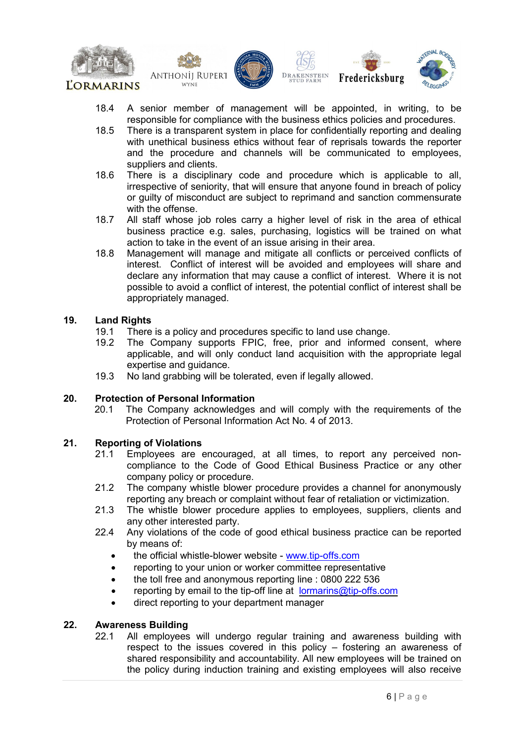









- 18.4 A senior member of management will be appointed, in writing, to be responsible for compliance with the business ethics policies and procedures.
- 18.5 There is a transparent system in place for confidentially reporting and dealing with unethical business ethics without fear of reprisals towards the reporter and the procedure and channels will be communicated to employees, suppliers and clients.
- 18.6 There is a disciplinary code and procedure which is applicable to all, irrespective of seniority, that will ensure that anyone found in breach of policy or guilty of misconduct are subject to reprimand and sanction commensurate with the offense.
- 18.7 All staff whose job roles carry a higher level of risk in the area of ethical business practice e.g. sales, purchasing, logistics will be trained on what action to take in the event of an issue arising in their area.
- 18.8 Management will manage and mitigate all conflicts or perceived conflicts of interest. Conflict of interest will be avoided and employees will share and declare any information that may cause a conflict of interest. Where it is not possible to avoid a conflict of interest, the potential conflict of interest shall be appropriately managed.

### **19. Land Rights**

- 19.1 There is a policy and procedures specific to land use change.<br>19.2 The Company supports FPIC, free, prior and informed
- The Company supports FPIC, free, prior and informed consent, where applicable, and will only conduct land acquisition with the appropriate legal expertise and guidance.
- 19.3 No land grabbing will be tolerated, even if legally allowed.

# **20. Protection of Personal Information**

The Company acknowledges and will comply with the requirements of the Protection of Personal Information Act No. 4 of 2013.

# **21. Reporting of Violations**

- Employees are encouraged, at all times, to report any perceived noncompliance to the Code of Good Ethical Business Practice or any other company policy or procedure.
- 21.2 The company whistle blower procedure provides a channel for anonymously reporting any breach or complaint without fear of retaliation or victimization.
- 21.3 The whistle blower procedure applies to employees, suppliers, clients and any other interested party.
- 22.4 Any violations of the code of good ethical business practice can be reported by means of:
	- the official whistle-blower website [www.tip-offs.com](http://www.tip-offs.com/)
	- reporting to your union or worker committee representative
	- the toll free and anonymous reporting line : 0800 222 536
	- reporting by email to the tip-off line at [lormarins@tip-offs.com](mailto:lormarins@tip-offs.com)
	- direct reporting to your department manager

#### **22. Awareness Building**

22.1 All employees will undergo regular training and awareness building with respect to the issues covered in this policy – fostering an awareness of shared responsibility and accountability. All new employees will be trained on the policy during induction training and existing employees will also receive